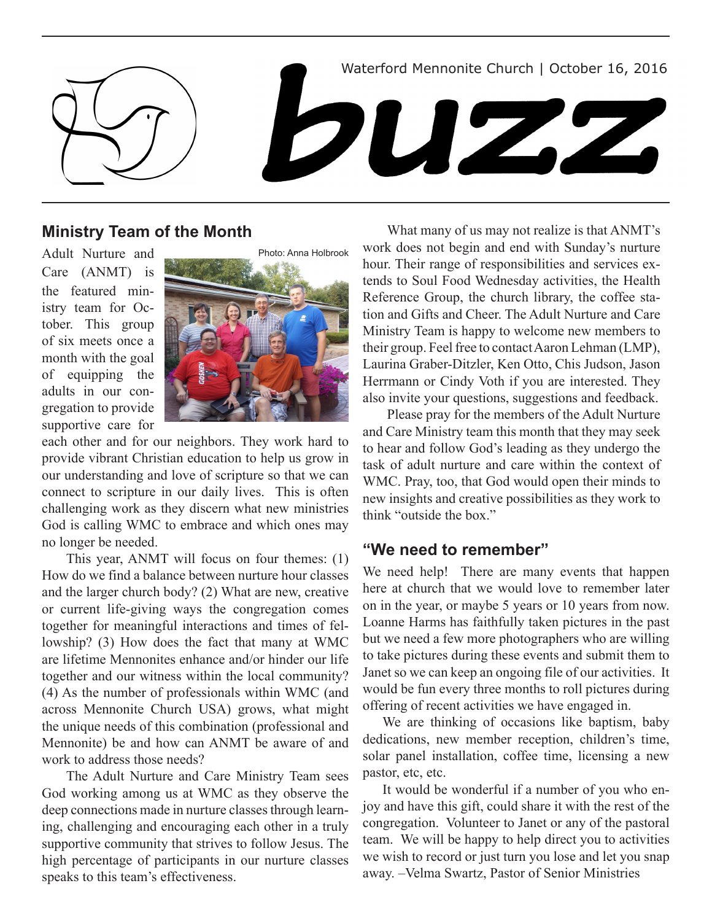

## **Ministry Team of the Month**

Adult Nurture and Care (ANMT) is the featured ministry team for October. This group of six meets once a month with the goal of equipping the adults in our congregation to provide supportive care for



each other and for our neighbors. They work hard to provide vibrant Christian education to help us grow in our understanding and love of scripture so that we can connect to scripture in our daily lives. This is often challenging work as they discern what new ministries God is calling WMC to embrace and which ones may no longer be needed.

This year, ANMT will focus on four themes: (1) How do we find a balance between nurture hour classes and the larger church body? (2) What are new, creative or current life-giving ways the congregation comes together for meaningful interactions and times of fellowship? (3) How does the fact that many at WMC are lifetime Mennonites enhance and/or hinder our life together and our witness within the local community? (4) As the number of professionals within WMC (and across Mennonite Church USA) grows, what might the unique needs of this combination (professional and Mennonite) be and how can ANMT be aware of and work to address those needs?

The Adult Nurture and Care Ministry Team sees God working among us at WMC as they observe the deep connections made in nurture classes through learning, challenging and encouraging each other in a truly supportive community that strives to follow Jesus. The high percentage of participants in our nurture classes speaks to this team's effectiveness.

What many of us may not realize is that ANMT's work does not begin and end with Sunday's nurture hour. Their range of responsibilities and services extends to Soul Food Wednesday activities, the Health Reference Group, the church library, the coffee station and Gifts and Cheer. The Adult Nurture and Care Ministry Team is happy to welcome new members to their group. Feel free to contact Aaron Lehman (LMP), Laurina Graber-Ditzler, Ken Otto, Chis Judson, Jason Herrmann or Cindy Voth if you are interested. They also invite your questions, suggestions and feedback.

Please pray for the members of the Adult Nurture and Care Ministry team this month that they may seek to hear and follow God's leading as they undergo the task of adult nurture and care within the context of WMC. Pray, too, that God would open their minds to new insights and creative possibilities as they work to think "outside the box."

### **"We need to remember"**

We need help! There are many events that happen here at church that we would love to remember later on in the year, or maybe 5 years or 10 years from now. Loanne Harms has faithfully taken pictures in the past but we need a few more photographers who are willing to take pictures during these events and submit them to Janet so we can keep an ongoing file of our activities. It would be fun every three months to roll pictures during offering of recent activities we have engaged in.

We are thinking of occasions like baptism, baby dedications, new member reception, children's time, solar panel installation, coffee time, licensing a new pastor, etc, etc.

It would be wonderful if a number of you who enjoy and have this gift, could share it with the rest of the congregation. Volunteer to Janet or any of the pastoral team. We will be happy to help direct you to activities we wish to record or just turn you lose and let you snap away. –Velma Swartz, Pastor of Senior Ministries